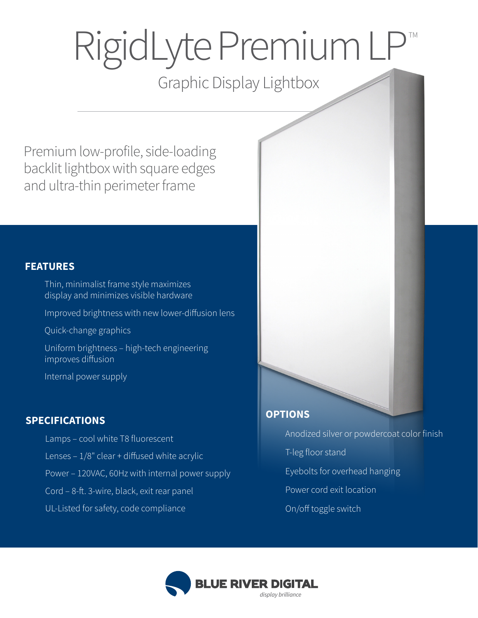## RigidLyte Premium LP TM

## Graphic Display Lightbox

Premium low-profile, side-loading backlit lightbox with square edges and ultra-thin perimeter frame

#### **FEATURES**

 Thin, minimalist frame style maximizes display and minimizes visible hardware Improved brightness with new lower-diffusion lens Quick-change graphics

 Uniform brightness – high-tech engineering improves diffusion

Internal power supply

#### **SPECIFICATIONS**

 Lamps – cool white T8 fluorescent Lenses  $-1/8$ " clear + diffused white acrylic Power – 120VAC, 60Hz with internal power supply Cord - 8-ft. 3-wire, black, exit rear panel UL-Listed for safety, code compliance

# **OPTIONS**

 Anodized silver or powdercoat color finish T-leg floor stand Eyebolts for overhead hanging Power cord exit location On/off toggle switch